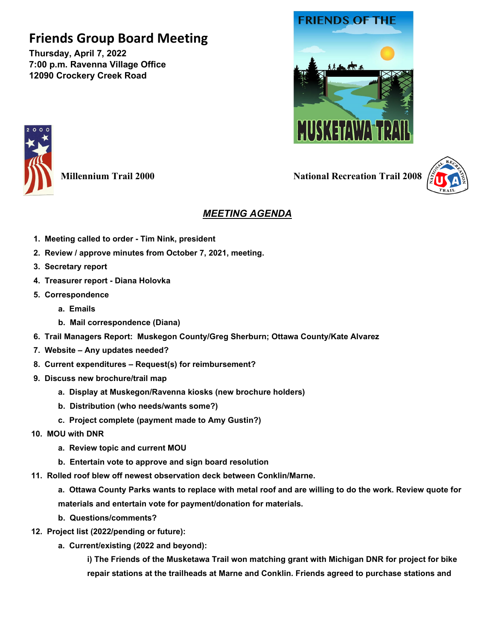## **Friends Group Board Meeting**

**Thursday, April 7, 2022 7:00 p.m. Ravenna Village Office 12090 Crockery Creek Road**





**Millennium Trail 2000 National Recreation Trail 2008** 



## *MEETING AGENDA*

- **1. Meeting called to order - Tim Nink, president**
- **2. Review / approve minutes from October 7, 2021, meeting.**
- **3. Secretary report**
- **4. Treasurer report - Diana Holovka**
- **5. Correspondence**
	- **a. Emails**
	- **b. Mail correspondence (Diana)**
- **6. Trail Managers Report: Muskegon County/Greg Sherburn; Ottawa County/Kate Alvarez**
- **7. Website – Any updates needed?**
- **8. Current expenditures – Request(s) for reimbursement?**
- **9. Discuss new brochure/trail map**
	- **a. Display at Muskegon/Ravenna kiosks (new brochure holders)**
	- **b. Distribution (who needs/wants some?)**
	- **c. Project complete (payment made to Amy Gustin?)**
- **10. MOU with DNR**
	- **a. Review topic and current MOU**
	- **b. Entertain vote to approve and sign board resolution**
- **11. Rolled roof blew off newest observation deck between Conklin/Marne.**
	- **a. Ottawa County Parks wants to replace with metal roof and are willing to do the work. Review quote for materials and entertain vote for payment/donation for materials.**
	- **b. Questions/comments?**
- **12. Project list (2022/pending or future):**
	- **a. Current/existing (2022 and beyond):**

**i) The Friends of the Musketawa Trail won matching grant with Michigan DNR for project for bike repair stations at the trailheads at Marne and Conklin. Friends agreed to purchase stations and**